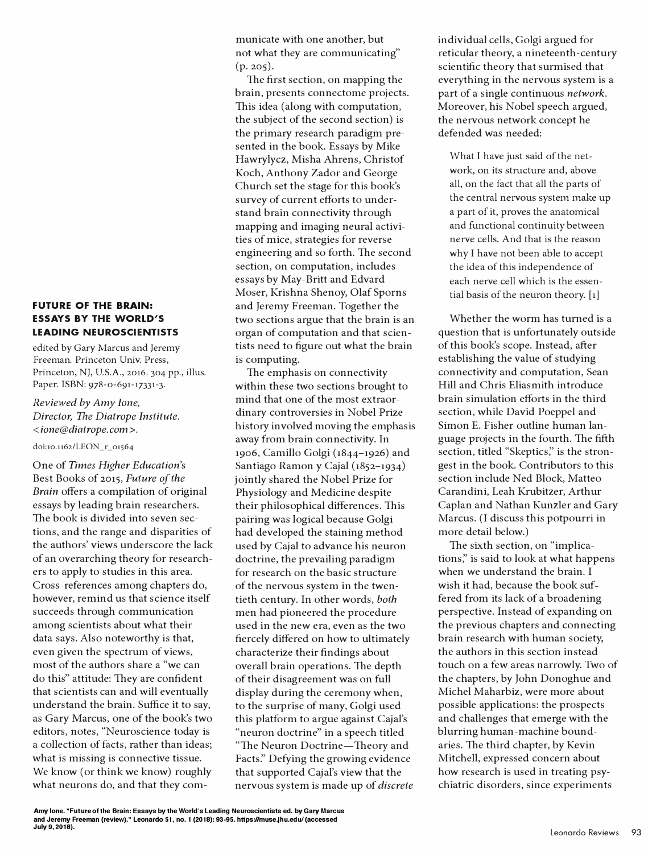## **FUTURE OF THE BRAIN: ESSAYS BY THE WORLD'S LEADING NEUROSCIENTISTS**

edited by Gary Marcus and Jeremy Freeman. Princeton Univ. Press, Princeton, NJ, U.S.A., 2016. 304 pp., illus. Paper. ISBN: 978-0-691-17331-3.

## *Reviewed by Amy Ione, Director, The Diatrope Institute.*  < *ione@diatrope.com* >.

## doi:10.1162/LEON\_r\_01564

One of *Times Higher Education's*  Best Books of 2015, *Future of the Brain* offers a compilation of original essays by leading brain researchers. The book is divided into seven sections, and the range and disparities of the authors' views underscore the lack of an overarching theory for researchers to apply to studies in this area. Cross-references among chapters do, however, remind us that science itself succeeds through communication among scientists about what their data says. Also noteworthy is that, even given the spectrum of views, most of the authors share a "we can do this" attitude: They are confident that scientists can and will eventually understand the brain. Suffice it to say, as Gary Marcus, one of the book's two editors, notes, "Neuroscience today is a collection of facts, rather than ideas; what is missing is connective tissue. We know (or think we know) roughly what neurons do, and that they communicate with one another, but not what they are communicating"  $(p. 205)$ .

The first section, on mapping the brain, presents connectome projects. This idea (along with computation, the subject of the second section) is the primary research paradigm presented in the book. Essays by Mike Hawrylycz, Misha Ahrens, Christof Koch, Anthony Zador and George Church set the stage for this book's survey of current efforts to understand brain connectivity through mapping and imaging neural activities of mice, strategies for reverse engineering and so forth. The second section, on computation, includes essays by May-Britt and Edvard Moser, Krishna Shenoy, Olaf Sporns and Jeremy Freeman. Together the two sections argue that the brain is an organ of computation and that scientists need to figure out what the brain is computing.

The emphasis on connectivity within these two sections brought to mind that one of the most extraordinary controversies in Nobel Prize history involved moving the emphasis away from brain connectivity. In 1906, Camillo Golgi (1844-1926) and Santiago Ramon y Cajal (1852-1934) jointly shared the Nobel Prize for Physiology and Medicine despite their philosophical differences. This pairing was logical because Golgi had developed the staining method used by Cajal to advance his neuron doctrine, the prevailing paradigm for research on the basic structure of the nervous system in the twentieth century. In other words, *both*  men had pioneered the procedure used in the new era, even as the two fiercely differed on how to ultimately characterize their findings about overall brain operations. The depth of their disagreement was on full display during the ceremony when, to the surprise of many, Golgi used this platform to argue against Cajal's "neuron doctrine" in a speech titled "The Neuron Doctrine-Theory and Facts:' Defying the growing evidence that supported Cajal's view that the nervous system is made up of *discrete* 

individual cells, Golgi argued for reticular theory, a nineteenth-century scientific theory that surmised that everything in the nervous system is a part of a single continuous *network.*  Moreover, his Nobel speech argued, the nervous network concept he defended was needed:

What I have just said of the network, on its structure and, above all, on the fact that all the parts of the central nervous system make up a part of it, proves the anatomical and functional continuity between nerve cells. And that is the reason why I have not been able to accept the idea of this independence of each nerve cell which is the essen tial basis of the neuron theory. [1]

Whether the worm has turned is a question that is unfortunately outside of this book's scope. Instead, after establishing the value of studying connectivity and computation, Sean Hill and Chris Eliasmith introduce brain simulation efforts in the third section, while David Poeppel and Simon E. Fisher outline human language projects in the fourth. The fifth section, titled "Skeptics," is the strongest in the book. Contributors to this section include Ned Block, Matteo Carandini, Leah Krubitzer, Arthur Caplan and Nathan Kunzler and Gary Marcus. (I discuss this potpourri in more detail below.)

The sixth section, on "implications;' is said to look at what happens when we understand the brain. I wish it had, because the book suf fered from its lack of a broadening perspective. Instead of expanding on the previous chapters and connecting brain research with human society, the authors in this section instead touch on a few areas narrowly. Two of the chapters, by John Donoghue and Michel Maharbiz, were more about possible applications: the prospects and challenges that emerge with the blurring human-machine boundaries. The third chapter, by Kevin Mitchell, expressed concern about how research is used in treating psychiatric disorders, since experiments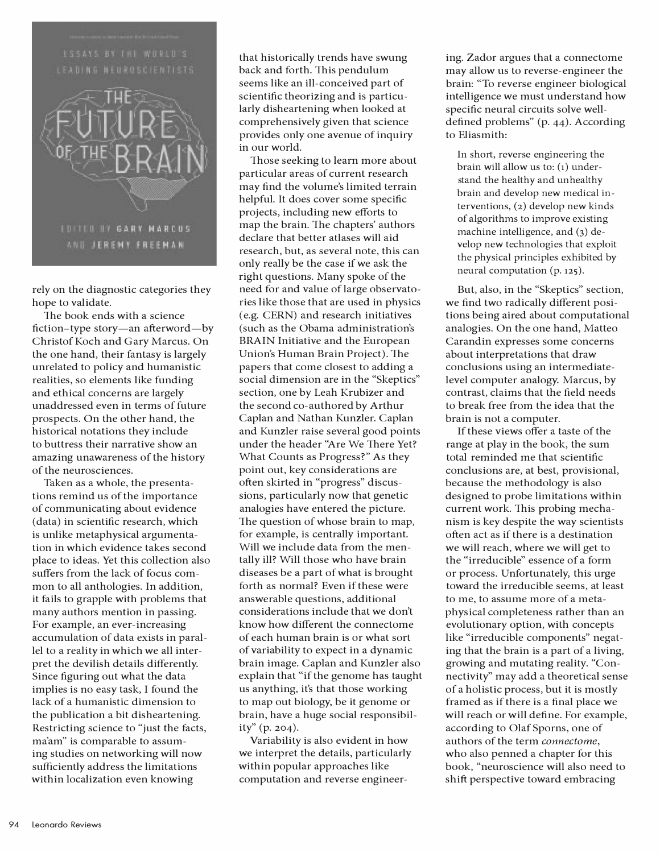

rely on the diagnostic categories they hope to validate.

The book ends with a science fiction-type story-an afterword-by Christof Koch and Gary Marcus. On the one hand, their fantasy is largely unrelated to policy and humanistic realities, so elements like funding and ethical concerns are largely unaddressed even in terms of future prospects. On the other hand, the historical notations they include to buttress their narrative show an amazing unawareness of the history of the neurosciences.

Taken as a whole, the presentations remind us of the importance of communicating about evidence (data) in scientific research, which is unlike metaphysical argumentation in which evidence takes second place to ideas. Yet this collection also suffers from the lack of focus common to all anthologies. In addition, it fails to grapple with problems that many authors mention in passing. For example, an ever-increasing accumulation of data exists in parallel to a reality in which we all interpret the devilish details differently. Since figuring out what the data implies is no easy task, I found the lack of a humanistic dimension to the publication a bit disheartening. Restricting science to "just the facts, ma'am" is comparable to assuming studies on networking will now sufficiently address the limitations within localization even knowing

that historically trends have swung back and forth. This pendulum seems like an ill-conceived part of scientific theorizing and is particularly disheartening when looked at comprehensively given that science provides only one avenue of inquiry in our world.

Those seeking to learn more about particular areas of current research may find the volume's limited terrain helpful. It does cover some specific projects, including new efforts to map the brain. The chapters' authors declare that better atlases will aid research, but, as several note, this can only really be the case if we ask the right questions. Many spoke of the need for and value of large observatories like those that are used in physics ( e.g. CERN) and research initiatives (such as the Obama administration's BRAIN Initiative and the European Union's Human Brain Project). The papers that come closest to adding a social dimension are in the "Skeptics" section, one by Leah Krubizer and the second co-authored by Arthur Caplan and Nathan Kunzler. Caplan and Kunzler raise several good points under the header "Are We There Yet? What Counts as Progress?" As they point out, key considerations are often skirted in "progress" discussions, particularly now that genetic analogies have entered the picture. The question of whose brain to map, for example, is centrally important. Will we include data from the mentally ill? Will those who have brain diseases be a part of what is brought forth as normal? Even if these were answerable questions, additional considerations include that we don't know how different the connectome of each human brain is or what sort of variability to expect in a dynamic brain image. Caplan and Kunzler also explain that "if the genome has taught us anything, it's that those working to map out biology, be it genome or brain, have a huge social responsibility" (p. 204).

Variability is also evident in how we interpret the details, particularly within popular approaches like computation and reverse engineering. Zador argues that a connectome may allow us to reverse-engineer the brain: "To reverse engineer biological intelligence we must understand how specific neural circuits solve welldefined problems" (p. 44). According to Eliasmith:

In short, reverse engineering the brain will allow us to: (1) understand the healthy and unhealthy brain and develop new medical interventions, (2) develop new kinds of algorithms to improve existing machine intelligence, and (3) develop new technologies that exploit the physical principles exhibited by neural computation (p. 125).

But, also, in the "Skeptics" section, we find two radically different positions being aired about computational analogies. On the one hand, Matteo Carandin expresses some concerns about interpretations that draw conclusions using an intermediatelevel computer analogy. Marcus, by contrast, claims that the field needs to break free from the idea that the brain is not a computer.

If these views offer a taste of the range at play in the book, the sum total reminded me that scientific conclusions are, at best, provisional, because the methodology is also designed to probe limitations within current work. This probing mechanism is key despite the way scientists often act as if there is a destination we will reach, where we will get to the "irreducible" essence of a form or process. Unfortunately, this urge toward the irreducible seems, at least to me, to assume more of a metaphysical completeness rather than an evolutionary option, with concepts like "irreducible components" negating that the brain is a part of a living, growing and mutating reality. "Connectivity" may add a theoretical sense of a holistic process, but it is mostly framed as if there is a final place we will reach or will define. For example, according to Olaf Sporns, one of authors of the term *connectome,* who also penned a chapter for this book, "neuroscience will also need to shift perspective toward embracing